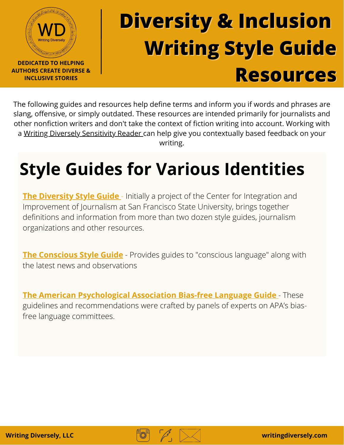

## **Diversity & Inclusion Writing Style Guide Resources**

The following guides and resources help define terms and inform you if words and phrases are slang, offensive, or simply outdated. These resources are intended primarily for journalists and other nonfiction writers and don't take the context of fiction writing into account. Working with a Writing Diversely [Sensitivity](https://www.writingdiversely.com/directory) Reader can help give you contextually based feedback on your writing.

## **Style Guides for Various Identities**

**The Diversity Style Guide** - Initially a project of the Center for Integration and [Improvement](https://www.diversitystyleguide.com/) of Journalism at San Francisco State University, brings together definitions and information from more than two dozen style guides, journalism organizations and other resources.

**The [Conscious](https://consciousstyleguide.com/) Style Guide** - Provides guides to "conscious language" along with the latest news and observations

**The American [Psychological](https://apastyle.apa.org/style-grammar-guidelines/bias-free-language/) Association Bias-free Language Guide** - These guidelines and recommendations were crafted by panels of experts on APA's biasfree language committees.